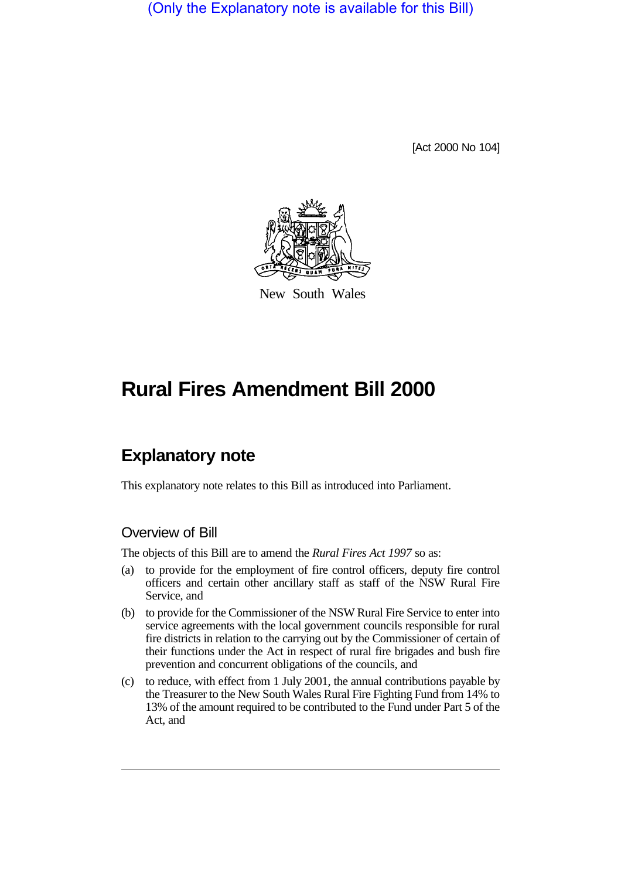(Only the Explanatory note is available for this Bill)

[Act 2000 No 104]



New South Wales

# **Rural Fires Amendment Bill 2000**

# **Explanatory note**

This explanatory note relates to this Bill as introduced into Parliament.

# Overview of Bill

The objects of this Bill are to amend the *Rural Fires Act 1997* so as:

- (a) to provide for the employment of fire control officers, deputy fire control officers and certain other ancillary staff as staff of the NSW Rural Fire Service, and
- (b) to provide for the Commissioner of the NSW Rural Fire Service to enter into service agreements with the local government councils responsible for rural fire districts in relation to the carrying out by the Commissioner of certain of their functions under the Act in respect of rural fire brigades and bush fire prevention and concurrent obligations of the councils, and
- (c) to reduce, with effect from 1 July 2001, the annual contributions payable by the Treasurer to the New South Wales Rural Fire Fighting Fund from 14% to 13% of the amount required to be contributed to the Fund under Part 5 of the Act, and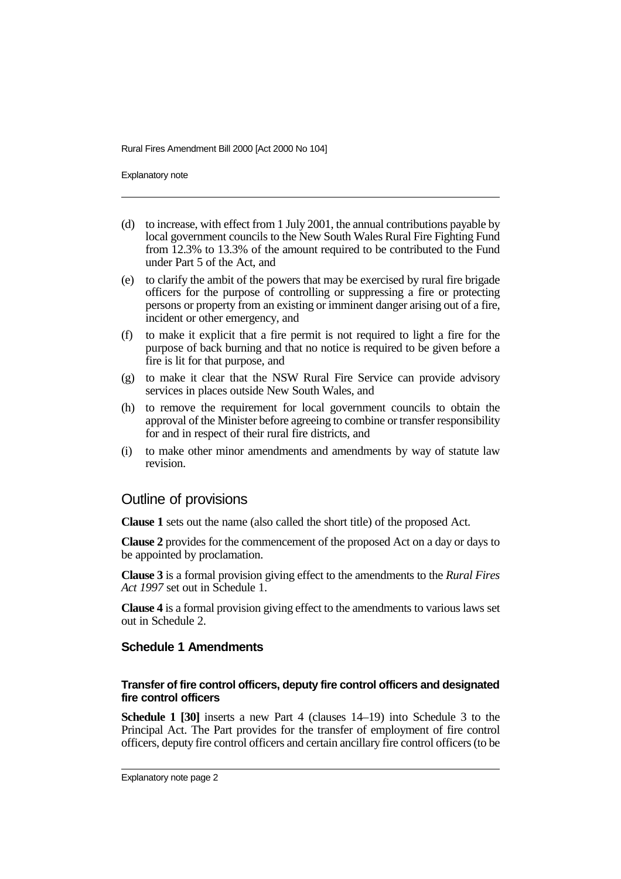Rural Fires Amendment Bill 2000 [Act 2000 No 104]

Explanatory note

- (d) to increase, with effect from 1 July 2001, the annual contributions payable by local government councils to the New South Wales Rural Fire Fighting Fund from 12.3% to 13.3% of the amount required to be contributed to the Fund under Part 5 of the Act, and
- (e) to clarify the ambit of the powers that may be exercised by rural fire brigade officers for the purpose of controlling or suppressing a fire or protecting persons or property from an existing or imminent danger arising out of a fire, incident or other emergency, and
- (f) to make it explicit that a fire permit is not required to light a fire for the purpose of back burning and that no notice is required to be given before a fire is lit for that purpose, and
- (g) to make it clear that the NSW Rural Fire Service can provide advisory services in places outside New South Wales, and
- (h) to remove the requirement for local government councils to obtain the approval of the Minister before agreeing to combine or transfer responsibility for and in respect of their rural fire districts, and
- (i) to make other minor amendments and amendments by way of statute law revision.

# Outline of provisions

**Clause 1** sets out the name (also called the short title) of the proposed Act.

**Clause 2** provides for the commencement of the proposed Act on a day or days to be appointed by proclamation.

**Clause 3** is a formal provision giving effect to the amendments to the *Rural Fires Act 1997* set out in Schedule 1.

**Clause 4** is a formal provision giving effect to the amendments to various laws set out in Schedule 2.

## **Schedule 1 Amendments**

### **Transfer of fire control officers, deputy fire control officers and designated fire control officers**

**Schedule 1 [30]** inserts a new Part 4 (clauses 14–19) into Schedule 3 to the Principal Act. The Part provides for the transfer of employment of fire control officers, deputy fire control officers and certain ancillary fire control officers (to be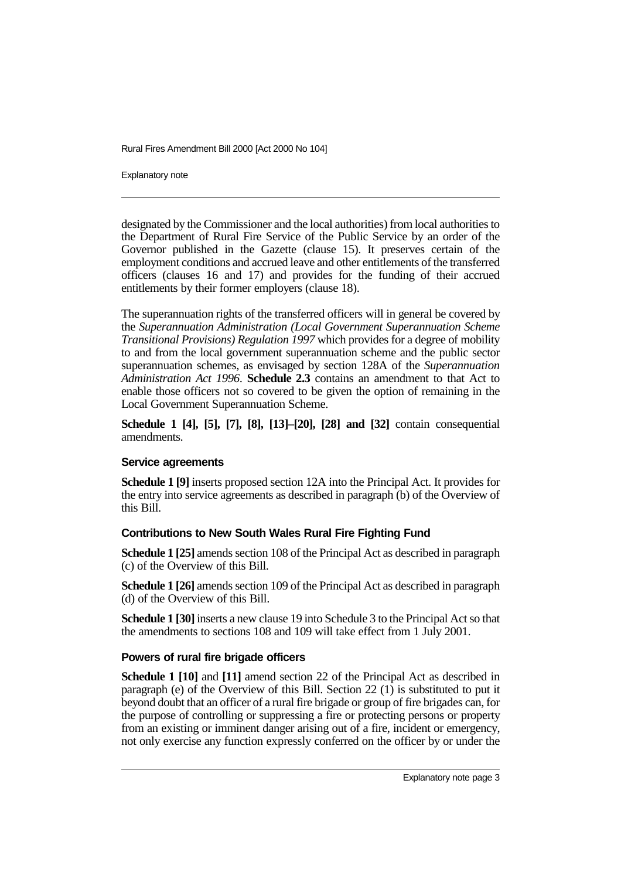Rural Fires Amendment Bill 2000 [Act 2000 No 104]

Explanatory note

designated by the Commissioner and the local authorities) from local authorities to the Department of Rural Fire Service of the Public Service by an order of the Governor published in the Gazette (clause 15). It preserves certain of the employment conditions and accrued leave and other entitlements of the transferred officers (clauses 16 and 17) and provides for the funding of their accrued entitlements by their former employers (clause 18).

The superannuation rights of the transferred officers will in general be covered by the *Superannuation Administration (Local Government Superannuation Scheme Transitional Provisions) Regulation 1997* which provides for a degree of mobility to and from the local government superannuation scheme and the public sector superannuation schemes, as envisaged by section 128A of the *Superannuation Administration Act 1996*. **Schedule 2.3** contains an amendment to that Act to enable those officers not so covered to be given the option of remaining in the Local Government Superannuation Scheme.

**Schedule 1 [4], [5], [7], [8], [13]–[20], [28] and [32]** contain consequential amendments.

### **Service agreements**

**Schedule 1 [9]** inserts proposed section 12A into the Principal Act. It provides for the entry into service agreements as described in paragraph (b) of the Overview of this Bill.

# **Contributions to New South Wales Rural Fire Fighting Fund**

**Schedule 1 [25]** amends section 108 of the Principal Act as described in paragraph (c) of the Overview of this Bill.

**Schedule 1 [26]** amends section 109 of the Principal Act as described in paragraph (d) of the Overview of this Bill.

**Schedule 1 [30]** inserts a new clause 19 into Schedule 3 to the Principal Act so that the amendments to sections 108 and 109 will take effect from 1 July 2001.

# **Powers of rural fire brigade officers**

**Schedule 1 [10]** and **[11]** amend section 22 of the Principal Act as described in paragraph (e) of the Overview of this Bill. Section 22  $(1)$  is substituted to put it beyond doubt that an officer of a rural fire brigade or group of fire brigades can, for the purpose of controlling or suppressing a fire or protecting persons or property from an existing or imminent danger arising out of a fire, incident or emergency, not only exercise any function expressly conferred on the officer by or under the